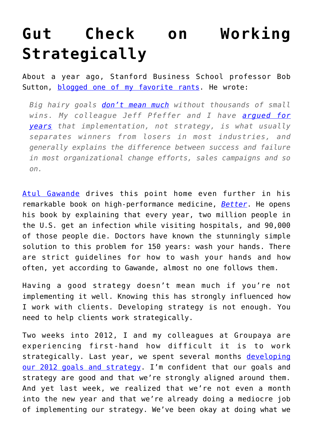## **[Gut Check on Working](https://groupaya.net/gut-check-on-working-strategically/) [Strategically](https://groupaya.net/gut-check-on-working-strategically/)**

About a year ago, Stanford Business School professor Bob Sutton, [blogged one of my favorite rants.](http://bobsutton.typepad.com/my_weblog/2010/07/strategy-is-for-amateurs-logistics-are-for-professionals-.html) He wrote:

*Big hairy goals [don't mean much](http://blogs.hbr.org/cs/2010/06/hey_boss_enough_with_the_big_h.html) without thousands of small wins. My colleague Jeff Pfeffer and I have [argued for](http://www.amazon.com/exec/obidos/ASIN/1591398622/bobsutton-20) [years](http://www.amazon.com/exec/obidos/ASIN/1591398622/bobsutton-20) that implementation, not strategy, is what usually separates winners from losers in most industries, and generally explains the difference between success and failure in most organizational change efforts, sales campaigns and so on.*

[Atul Gawande](http://en.wikipedia.org/wiki/Atul_Gawande) drives this point home even further in his remarkable book on high-performance medicine, *[Better](http://gawande.com/better)*. He opens his book by explaining that every year, two million people in the U.S. get an infection while visiting hospitals, and 90,000 of those people die. Doctors have known the stunningly simple solution to this problem for 150 years: wash your hands. There are strict guidelines for how to wash your hands and how often, yet according to Gawande, almost no one follows them.

Having a good strategy doesn't mean much if you're not implementing it well. Knowing this has strongly influenced how I work with clients. Developing strategy is not enough. You need to help clients work strategically.

Two weeks into 2012, I and my colleagues at Groupaya are experiencing first-hand how difficult it is to work strategically. Last year, we spent several months [developing](http://groupaya.net/blog/2012/01/2012-goals-and-strategy/) [our 2012 goals and strategy](http://groupaya.net/blog/2012/01/2012-goals-and-strategy/). I'm confident that our goals and strategy are good and that we're strongly aligned around them. And yet last week, we realized that we're not even a month into the new year and that we're already doing a mediocre job of implementing our strategy. We've been okay at doing what we